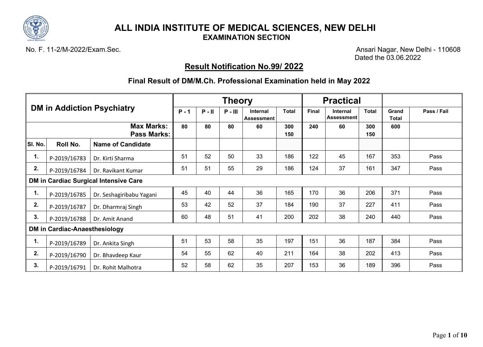

No. F. 11-2/M-2022/Exam.Sec. Ansari Nagar, New Delhi - 110608 Dated the 03.06.2022

# **Result Notification No.99/ 2022**

|         | <b>DM in Addiction Psychiatry</b> |                                              |         |          | <b>Theory</b> |                               |              | <b>Practical</b> |                               |              |                |             |
|---------|-----------------------------------|----------------------------------------------|---------|----------|---------------|-------------------------------|--------------|------------------|-------------------------------|--------------|----------------|-------------|
|         |                                   |                                              | $P - 1$ | $P - II$ | $P - III$     | Internal<br><b>Assessment</b> | <b>Total</b> | Final            | Internal<br><b>Assessment</b> | <b>Total</b> | Grand<br>Total | Pass / Fail |
|         |                                   | <b>Max Marks:</b><br><b>Pass Marks:</b>      | 80      | 80       | 80            | 60                            | 300<br>150   | 240              | 60                            | 300<br>150   | 600            |             |
| SI. No. | Roll No.                          | <b>Name of Candidate</b>                     |         |          |               |                               |              |                  |                               |              |                |             |
| 1.      | P-2019/16783                      | Dr. Kirti Sharma                             | 51      | 52       | 50            | 33                            | 186          | 122              | 45                            | 167          | 353            | Pass        |
| 2.      | P-2019/16784                      | Dr. Ravikant Kumar                           | 51      | 51       | 55            | 29                            | 186          | 124              | 37                            | 161          | 347            | Pass        |
|         |                                   | <b>DM in Cardiac Surgical Intensive Care</b> |         |          |               |                               |              |                  |                               |              |                |             |
| 1.      | P-2019/16785                      | Dr. Seshagiribabu Yagani                     | 45      | 40       | 44            | 36                            | 165          | 170              | 36                            | 206          | 371            | Pass        |
| 2.      | P-2019/16787                      | Dr. Dharmraj Singh                           | 53      | 42       | 52            | 37                            | 184          | 190              | 37                            | 227          | 411            | Pass        |
| 3.      | P-2019/16788                      | Dr. Amit Anand                               | 60      | 48       | 51            | 41                            | 200          | 202              | 38                            | 240          | 440            | Pass        |
|         | DM in Cardiac-Anaesthesiology     |                                              |         |          |               |                               |              |                  |                               |              |                |             |
| 1.      | P-2019/16789                      | Dr. Ankita Singh                             | 51      | 53       | 58            | 35                            | 197          | 151              | 36                            | 187          | 384            | Pass        |
| 2.      | P-2019/16790                      | Dr. Bhavdeep Kaur                            | 54      | 55       | 62            | 40                            | 211          | 164              | 38                            | 202          | 413            | Pass        |
| 3.      | P-2019/16791                      | Dr. Rohit Malhotra                           | 52      | 58       | 62            | 35                            | 207          | 153              | 36                            | 189          | 396            | Pass        |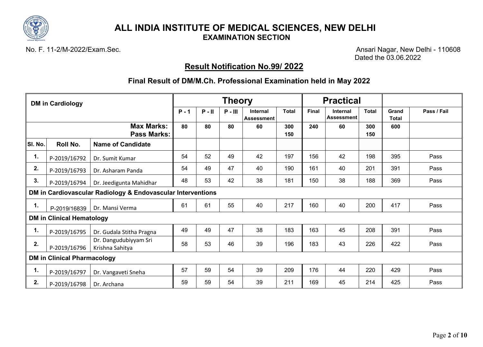

No. F. 11-2/M-2022/Exam.Sec. Ansari Nagar, New Delhi - 110608 Dated the 03.06.2022

# **Result Notification No.99/ 2022**

|         | <b>DM in Cardiology</b>            |                                                             |         |          | <b>Theory</b> |                                      |              |       | <b>Practical</b>                     |              |                       |             |
|---------|------------------------------------|-------------------------------------------------------------|---------|----------|---------------|--------------------------------------|--------------|-------|--------------------------------------|--------------|-----------------------|-------------|
|         |                                    |                                                             | $P - 1$ | $P - II$ | $P - III$     | <b>Internal</b><br><b>Assessment</b> | <b>Total</b> | Final | <b>Internal</b><br><b>Assessment</b> | <b>Total</b> | Grand<br><b>Total</b> | Pass / Fail |
|         |                                    | <b>Max Marks:</b><br><b>Pass Marks:</b>                     | 80      | 80       | 80            | 60                                   | 300<br>150   | 240   | 60                                   | 300<br>150   | 600                   |             |
| SI. No. | Roll No.                           | <b>Name of Candidate</b>                                    |         |          |               |                                      |              |       |                                      |              |                       |             |
| 1.      | P-2019/16792                       | Dr. Sumit Kumar                                             | 54      | 52       | 49            | 42                                   | 197          | 156   | 42                                   | 198          | 395                   | Pass        |
| 2.      | P-2019/16793                       | Dr. Asharam Panda                                           | 54      | 49       | 47            | 40                                   | 190          | 161   | 40                                   | 201          | 391                   | Pass        |
| 3.      | P-2019/16794                       | Dr. Jeedigunta Mahidhar                                     | 48      | 53       | 42            | 38                                   | 181          | 150   | 38                                   | 188          | 369                   | Pass        |
|         |                                    | DM in Cardiovascular Radiology & Endovascular Interventions |         |          |               |                                      |              |       |                                      |              |                       |             |
| 1.      | P-2019/16839                       | Dr. Mansi Verma                                             | 61      | 61       | 55            | 40                                   | 217          | 160   | 40                                   | 200          | 417                   | Pass        |
|         | <b>DM in Clinical Hematology</b>   |                                                             |         |          |               |                                      |              |       |                                      |              |                       |             |
| 1.      | P-2019/16795                       | Dr. Gudala Stitha Pragna                                    | 49      | 49       | 47            | 38                                   | 183          | 163   | 45                                   | 208          | 391                   | Pass        |
| 2.      | P-2019/16796                       | Dr. Dangudubiyyam Sri<br>Krishna Sahitya                    | 58      | 53       | 46            | 39                                   | 196          | 183   | 43                                   | 226          | 422                   | Pass        |
|         | <b>DM in Clinical Pharmacology</b> |                                                             |         |          |               |                                      |              |       |                                      |              |                       |             |
| 1.      | P-2019/16797                       | Dr. Vangaveti Sneha                                         | 57      | 59       | 54            | 39                                   | 209          | 176   | 44                                   | 220          | 429                   | Pass        |
| 2.      | P-2019/16798                       | Dr. Archana                                                 | 59      | 59       | 54            | 39                                   | 211          | 169   | 45                                   | 214          | 425                   | Pass        |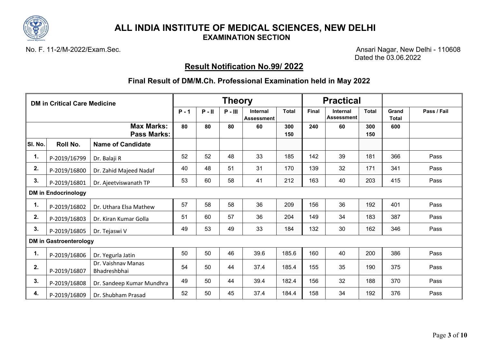

No. F. 11-2/M-2022/Exam.Sec. Ansari Nagar, New Delhi - 110608 Dated the 03.06.2022

# **Result Notification No.99/ 2022**

|         | <b>DM in Critical Care Medicine</b> |                                         |         |          | <b>Theory</b> |                        |              | <b>Practical</b> |                               |              |                       |             |
|---------|-------------------------------------|-----------------------------------------|---------|----------|---------------|------------------------|--------------|------------------|-------------------------------|--------------|-----------------------|-------------|
|         |                                     |                                         | $P - 1$ | $P - II$ | $P - III$     | Internal<br>Assessment | <b>Total</b> | Final            | Internal<br><b>Assessment</b> | <b>Total</b> | Grand<br><b>Total</b> | Pass / Fail |
|         |                                     | <b>Max Marks:</b><br><b>Pass Marks:</b> | 80      | 80       | 80            | 60                     | 300<br>150   | 240              | 60                            | 300<br>150   | 600                   |             |
| SI. No. | Roll No.                            | <b>Name of Candidate</b>                |         |          |               |                        |              |                  |                               |              |                       |             |
| 1.      | P-2019/16799                        | Dr. Balaji R                            | 52      | 52       | 48            | 33                     | 185          | 142              | 39                            | 181          | 366                   | Pass        |
| 2.      | P-2019/16800                        | Dr. Zahid Majeed Nadaf                  | 40      | 48       | 51            | 31                     | 170          | 139              | 32                            | 171          | 341                   | Pass        |
| 3.      | P-2019/16801                        | Dr. Ajeetviswanath TP                   | 53      | 60       | 58            | 41                     | 212          | 163              | 40                            | 203          | 415                   | Pass        |
|         | <b>DM in Endocrinology</b>          |                                         |         |          |               |                        |              |                  |                               |              |                       |             |
| 1.      | P-2019/16802                        | Dr. Uthara Elsa Mathew                  | 57      | 58       | 58            | 36                     | 209          | 156              | 36                            | 192          | 401                   | Pass        |
| 2.      | P-2019/16803                        | Dr. Kiran Kumar Golla                   | 51      | 60       | 57            | 36                     | 204          | 149              | 34                            | 183          | 387                   | Pass        |
| 3.      | P-2019/16805                        | Dr. Tejaswi V                           | 49      | 53       | 49            | 33                     | 184          | 132              | 30                            | 162          | 346                   | Pass        |
|         | <b>DM in Gastroenterology</b>       |                                         |         |          |               |                        |              |                  |                               |              |                       |             |
| 1.      | P-2019/16806                        | Dr. Yegurla Jatin                       | 50      | 50       | 46            | 39.6                   | 185.6        | 160              | 40                            | 200          | 386                   | Pass        |
| 2.      | P-2019/16807                        | Dr. Vaishnav Manas<br>Bhadreshbhai      | 54      | 50       | 44            | 37.4                   | 185.4        | 155              | 35                            | 190          | 375                   | Pass        |
| 3.      | P-2019/16808                        | Dr. Sandeep Kumar Mundhra               | 49      | 50       | 44            | 39.4                   | 182.4        | 156              | 32                            | 188          | 370                   | Pass        |
| 4.      | P-2019/16809                        | Dr. Shubham Prasad                      | 52      | 50       | 45            | 37.4                   | 184.4        | 158              | 34                            | 192          | 376                   | Pass        |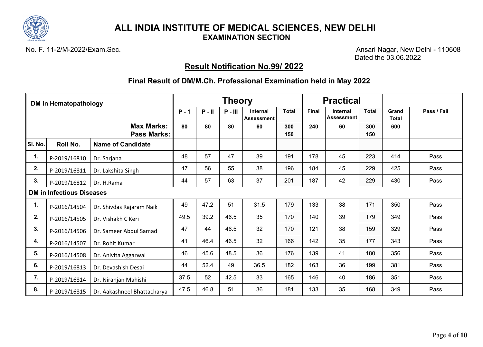

No. F. 11-2/M-2022/Exam.Sec. Ansari Nagar, New Delhi - 110608 Dated the 03.06.2022

# **Result Notification No.99/ 2022**

|         | <b>DM in Hematopathology</b>     |                                         |         |          | <b>Theory</b> |                               |              | <b>Practical</b> |                                      |              |                       |             |
|---------|----------------------------------|-----------------------------------------|---------|----------|---------------|-------------------------------|--------------|------------------|--------------------------------------|--------------|-----------------------|-------------|
|         |                                  |                                         | $P - 1$ | $P - II$ | $P - III$     | <b>Internal</b><br>Assessment | <b>Total</b> | <b>Final</b>     | <b>Internal</b><br><b>Assessment</b> | <b>Total</b> | Grand<br><b>Total</b> | Pass / Fail |
|         |                                  | <b>Max Marks:</b><br><b>Pass Marks:</b> | 80      | 80       | 80            | 60                            | 300<br>150   | 240              | 60                                   | 300<br>150   | 600                   |             |
| SI. No. | Roll No.                         | <b>Name of Candidate</b>                |         |          |               |                               |              |                  |                                      |              |                       |             |
| 1.      | P-2019/16810                     | Dr. Sarjana                             | 48      | 57       | 47            | 39                            | 191          | 178              | 45                                   | 223          | 414                   | Pass        |
| 2.      | P-2019/16811                     | Dr. Lakshita Singh                      | 47      | 56       | 55            | 38                            | 196          | 184              | 45                                   | 229          | 425                   | Pass        |
| 3.      | P-2019/16812                     | Dr. H.Rama                              | 44      | 57       | 63            | 37                            | 201          | 187              | 42                                   | 229          | 430                   | Pass        |
|         | <b>DM in Infectious Diseases</b> |                                         |         |          |               |                               |              |                  |                                      |              |                       |             |
| 1.      | P-2016/14504                     | Dr. Shivdas Rajaram Naik                | 49      | 47.2     | 51            | 31.5                          | 179          | 133              | 38                                   | 171          | 350                   | Pass        |
| 2.      | P-2016/14505                     | Dr. Vishakh C Keri                      | 49.5    | 39.2     | 46.5          | 35                            | 170          | 140              | 39                                   | 179          | 349                   | Pass        |
| 3.      | P-2016/14506                     | Dr. Sameer Abdul Samad                  | 47      | 44       | 46.5          | 32                            | 170          | 121              | 38                                   | 159          | 329                   | Pass        |
| 4.      | P-2016/14507                     | Dr. Rohit Kumar                         | 41      | 46.4     | 46.5          | 32                            | 166          | 142              | 35                                   | 177          | 343                   | Pass        |
| 5.      | P-2016/14508                     | Dr. Anivita Aggarwal                    | 46      | 45.6     | 48.5          | 36                            | 176          | 139              | 41                                   | 180          | 356                   | Pass        |
| 6.      | P-2019/16813                     | Dr. Devashish Desai                     | 44      | 52.4     | 49            | 36.5                          | 182          | 163              | 36                                   | 199          | 381                   | Pass        |
| 7.      | P-2019/16814                     | Dr. Niranjan Mahishi                    | 37.5    | 52       | 42.5          | 33                            | 165          | 146              | 40                                   | 186          | 351                   | Pass        |
| 8.      | P-2019/16815                     | Dr. Aakashneel Bhattacharya             | 47.5    | 46.8     | 51            | 36                            | 181          | 133              | 35                                   | 168          | 349                   | Pass        |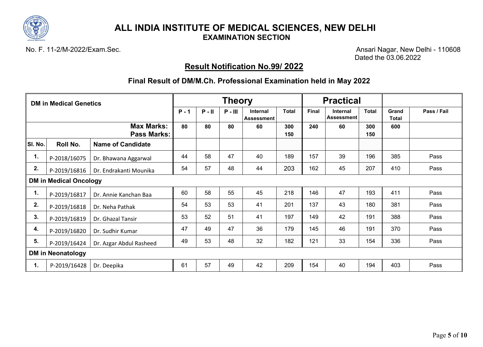

No. F. 11-2/M-2022/Exam.Sec. Ansari Nagar, New Delhi - 110608 Dated the 03.06.2022

# **Result Notification No.99/ 2022**

|         | <b>DM in Medical Genetics</b> |                                         |         |          | <b>Theory</b> |                               |              | <b>Practical</b> |                               |              |                       |             |
|---------|-------------------------------|-----------------------------------------|---------|----------|---------------|-------------------------------|--------------|------------------|-------------------------------|--------------|-----------------------|-------------|
|         |                               |                                         | $P - 1$ | $P - II$ | $P - III$     | <b>Internal</b><br>Assessment | <b>Total</b> | Final            | Internal<br><b>Assessment</b> | <b>Total</b> | Grand<br><b>Total</b> | Pass / Fail |
|         |                               | <b>Max Marks:</b><br><b>Pass Marks:</b> | 80      | 80       | 80            | 60                            | 300<br>150   | 240              | 60                            | 300<br>150   | 600                   |             |
| SI. No. | Roll No.                      | <b>Name of Candidate</b>                |         |          |               |                               |              |                  |                               |              |                       |             |
| 1.      | P-2018/16075                  | Dr. Bhawana Aggarwal                    | 44      | 58       | 47            | 40                            | 189          | 157              | 39                            | 196          | 385                   | Pass        |
| 2.      | P-2019/16816                  | Dr. Endrakanti Mounika                  | 54      | 57       | 48            | 44                            | 203          | 162              | 45                            | 207          | 410                   | Pass        |
|         | <b>DM in Medical Oncology</b> |                                         |         |          |               |                               |              |                  |                               |              |                       |             |
| 1.      | P-2019/16817                  | Dr. Annie Kanchan Baa                   | 60      | 58       | 55            | 45                            | 218          | 146              | 47                            | 193          | 411                   | Pass        |
| 2.      | P-2019/16818                  | Dr. Neha Pathak                         | 54      | 53       | 53            | 41                            | 201          | 137              | 43                            | 180          | 381                   | Pass        |
| 3.      | P-2019/16819                  | Dr. Ghazal Tansir                       | 53      | 52       | 51            | 41                            | 197          | 149              | 42                            | 191          | 388                   | Pass        |
| 4.      | P-2019/16820                  | Dr. Sudhir Kumar                        | 47      | 49       | 47            | 36                            | 179          | 145              | 46                            | 191          | 370                   | Pass        |
| 5.      | P-2019/16424                  | Dr. Azgar Abdul Rasheed                 | 49      | 53       | 48            | 32                            | 182          | 121              | 33                            | 154          | 336                   | Pass        |
|         | <b>DM in Neonatology</b>      |                                         |         |          |               |                               |              |                  |                               |              |                       |             |
| 1.      | P-2019/16428                  | Dr. Deepika                             | 61      | 57       | 49            | 42                            | 209          | 154              | 40                            | 194          | 403                   | Pass        |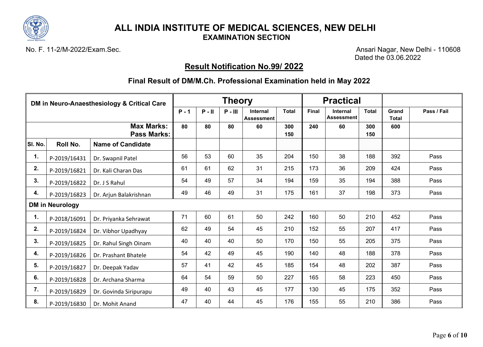

No. F. 11-2/M-2022/Exam.Sec. Ansari Nagar, New Delhi - 110608 Dated the 03.06.2022

# **Result Notification No.99/ 2022**

|         | DM in Neuro-Anaesthesiology & Critical Care |                                         |          |           | <b>Theory</b>                 |              |              | <b>Practical</b>              |              |                       |             |      |
|---------|---------------------------------------------|-----------------------------------------|----------|-----------|-------------------------------|--------------|--------------|-------------------------------|--------------|-----------------------|-------------|------|
|         |                                             | $P - 1$                                 | $P - II$ | $P - III$ | Internal<br><b>Assessment</b> | <b>Total</b> | <b>Final</b> | Internal<br><b>Assessment</b> | <b>Total</b> | Grand<br><b>Total</b> | Pass / Fail |      |
|         |                                             | <b>Max Marks:</b><br><b>Pass Marks:</b> | 80       | 80        | 80                            | 60           | 300<br>150   | 240                           | 60           | 300<br>150            | 600         |      |
| SI. No. | Roll No.                                    | <b>Name of Candidate</b>                |          |           |                               |              |              |                               |              |                       |             |      |
| 1.      | P-2019/16431                                | Dr. Swapnil Patel                       | 56       | 53        | 60                            | 35           | 204          | 150                           | 38           | 188                   | 392         | Pass |
| 2.      | P-2019/16821                                | Dr. Kali Charan Das                     | 61       | 61        | 62                            | 31           | 215          | 173                           | 36           | 209                   | 424         | Pass |
| 3.      | P-2019/16822                                | Dr. J S Rahul                           | 54       | 49        | 57                            | 34           | 194          | 159                           | 35           | 194                   | 388         | Pass |
| 4.      | P-2019/16823                                | Dr. Arjun Balakrishnan                  | 49       | 46        | 49                            | 31           | 175          | 161                           | 37           | 198                   | 373         | Pass |
|         | <b>DM in Neurology</b>                      |                                         |          |           |                               |              |              |                               |              |                       |             |      |
| 1.      | P-2018/16091                                | Dr. Priyanka Sehrawat                   | 71       | 60        | 61                            | 50           | 242          | 160                           | 50           | 210                   | 452         | Pass |
| 2.      | P-2019/16824                                | Dr. Vibhor Upadhyay                     | 62       | 49        | 54                            | 45           | 210          | 152                           | 55           | 207                   | 417         | Pass |
| 3.      | P-2019/16825                                | Dr. Rahul Singh Oinam                   | 40       | 40        | 40                            | 50           | 170          | 150                           | 55           | 205                   | 375         | Pass |
| 4.      | P-2019/16826                                | Dr. Prashant Bhatele                    | 54       | 42        | 49                            | 45           | 190          | 140                           | 48           | 188                   | 378         | Pass |
| 5.      | P-2019/16827                                | Dr. Deepak Yadav                        | 57       | 41        | 42                            | 45           | 185          | 154                           | 48           | 202                   | 387         | Pass |
| 6.      | P-2019/16828                                | Dr. Archana Sharma                      | 64       | 54        | 59                            | 50           | 227          | 165                           | 58           | 223                   | 450         | Pass |
| 7.      | P-2019/16829                                | Dr. Govinda Siripurapu                  | 49       | 40        | 43                            | 45           | 177          | 130                           | 45           | 175                   | 352         | Pass |
| 8.      | P-2019/16830                                | Dr. Mohit Anand                         | 47       | 40        | 44                            | 45           | 176          | 155                           | 55           | 210                   | 386         | Pass |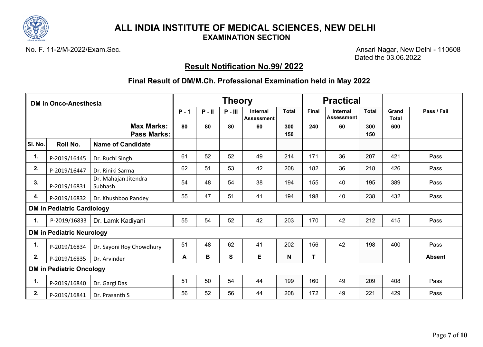

No. F. 11-2/M-2022/Exam.Sec. Ansari Nagar, New Delhi - 110608 Dated the 03.06.2022

# **Result Notification No.99/ 2022**

|         | <b>DM in Onco-Anesthesia</b>      |                                         |         |          | <b>Theory</b> |                                      |              |       | <b>Practical</b>              |              |                       |               |
|---------|-----------------------------------|-----------------------------------------|---------|----------|---------------|--------------------------------------|--------------|-------|-------------------------------|--------------|-----------------------|---------------|
|         |                                   |                                         | $P - 1$ | $P - II$ | $P - III$     | <b>Internal</b><br><b>Assessment</b> | <b>Total</b> | Final | Internal<br><b>Assessment</b> | <b>Total</b> | Grand<br><b>Total</b> | Pass / Fail   |
|         |                                   | <b>Max Marks:</b><br><b>Pass Marks:</b> | 80      | 80       | 80            | 60                                   | 300<br>150   | 240   | 60                            | 300<br>150   | 600                   |               |
| SI. No. | Roll No.                          | <b>Name of Candidate</b>                |         |          |               |                                      |              |       |                               |              |                       |               |
| 1.      | P-2019/16445                      | Dr. Ruchi Singh                         | 61      | 52       | 52            | 49                                   | 214          | 171   | 36                            | 207          | 421                   | Pass          |
| 2.      | P-2019/16447                      | Dr. Riniki Sarma                        | 62      | 51       | 53            | 42                                   | 208          | 182   | 36                            | 218          | 426                   | Pass          |
| 3.      | P-2019/16831                      | Dr. Mahajan Jitendra<br>Subhash         | 54      | 48       | 54            | 38                                   | 194          | 155   | 40                            | 195          | 389                   | Pass          |
| 4.      | P-2019/16832                      | Dr. Khushboo Pandey                     | 55      | 47       | 51            | 41                                   | 194          | 198   | 40                            | 238          | 432                   | Pass          |
|         | <b>DM in Pediatric Cardiology</b> |                                         |         |          |               |                                      |              |       |                               |              |                       |               |
| 1.      | P-2019/16833                      | Dr. Lamk Kadiyani                       | 55      | 54       | 52            | 42                                   | 203          | 170   | 42                            | 212          | 415                   | Pass          |
|         | <b>DM in Pediatric Neurology</b>  |                                         |         |          |               |                                      |              |       |                               |              |                       |               |
| 1.      | P-2019/16834                      | Dr. Sayoni Roy Chowdhury                | 51      | 48       | 62            | 41                                   | 202          | 156   | 42                            | 198          | 400                   | Pass          |
| 2.      | P-2019/16835                      | Dr. Arvinder                            | A       | В        | S             | E                                    | N            | Т     |                               |              |                       | <b>Absent</b> |
|         | <b>DM in Pediatric Oncology</b>   |                                         |         |          |               |                                      |              |       |                               |              |                       |               |
| 1.      | P-2019/16840                      | Dr. Gargi Das                           | 51      | 50       | 54            | 44                                   | 199          | 160   | 49                            | 209          | 408                   | Pass          |
| 2.      | P-2019/16841                      | Dr. Prasanth S                          | 56      | 52       | 56            | 44                                   | 208          | 172   | 49                            | 221          | 429                   | Pass          |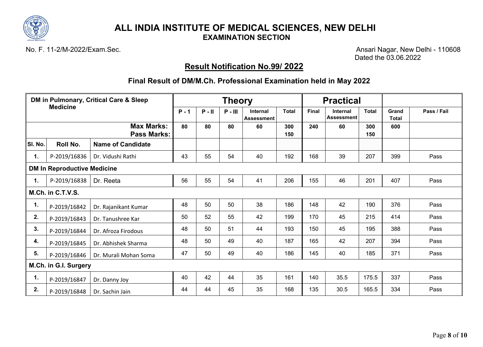

No. F. 11-2/M-2022/Exam.Sec. Ansari Nagar, New Delhi - 110608 Dated the 03.06.2022

# **Result Notification No.99/ 2022**

|                | DM in Pulmonary, Critical Care & Sleep<br><b>Medicine</b> |                                         |         |          | <b>Theory</b> |                                      |              |       | <b>Practical</b>                     |              |                       |             |
|----------------|-----------------------------------------------------------|-----------------------------------------|---------|----------|---------------|--------------------------------------|--------------|-------|--------------------------------------|--------------|-----------------------|-------------|
|                |                                                           |                                         | $P - 1$ | $P - II$ | $P - III$     | <b>Internal</b><br><b>Assessment</b> | <b>Total</b> | Final | <b>Internal</b><br><b>Assessment</b> | <b>Total</b> | Grand<br><b>Total</b> | Pass / Fail |
|                |                                                           | <b>Max Marks:</b><br><b>Pass Marks:</b> | 80      | 80       | 80            | 60                                   | 300<br>150   | 240   | 60                                   | 300<br>150   | 600                   |             |
| SI. No.        | Roll No.                                                  | <b>Name of Candidate</b>                |         |          |               |                                      |              |       |                                      |              |                       |             |
| 1.             | P-2019/16836                                              | Dr. Vidushi Rathi                       | 43      | 55       | 54            | 40                                   | 192          | 168   | 39                                   | 207          | 399                   | Pass        |
|                | <b>DM In Reproductive Medicine</b>                        |                                         |         |          |               |                                      |              |       |                                      |              |                       |             |
| $\mathbf{1}$ . | P-2019/16838                                              | Dr. Reeta                               | 56      | 55       | 54            | 41                                   | 206          | 155   | 46                                   | 201          | 407                   | Pass        |
|                | M.Ch. in C.T.V.S.                                         |                                         |         |          |               |                                      |              |       |                                      |              |                       |             |
| 1.             | P-2019/16842                                              | Dr. Rajanikant Kumar                    | 48      | 50       | 50            | 38                                   | 186          | 148   | 42                                   | 190          | 376                   | Pass        |
| 2.             | P-2019/16843                                              | Dr. Tanushree Kar                       | 50      | 52       | 55            | 42                                   | 199          | 170   | 45                                   | 215          | 414                   | Pass        |
| 3.             | P-2019/16844                                              | Dr. Afroza Firodous                     | 48      | 50       | 51            | 44                                   | 193          | 150   | 45                                   | 195          | 388                   | Pass        |
| 4.             | P-2019/16845                                              | Dr. Abhishek Sharma                     | 48      | 50       | 49            | 40                                   | 187          | 165   | 42                                   | 207          | 394                   | Pass        |
| 5.             | P-2019/16846                                              | Dr. Murali Mohan Soma                   | 47      | 50       | 49            | 40                                   | 186          | 145   | 40                                   | 185          | 371                   | Pass        |
|                | M.Ch. in G.I. Surgery                                     |                                         |         |          |               |                                      |              |       |                                      |              |                       |             |
| 1.             | P-2019/16847                                              | Dr. Danny Joy                           | 40      | 42       | 44            | 35                                   | 161          | 140   | 35.5                                 | 175.5        | 337                   | Pass        |
| 2.             | P-2019/16848                                              | Dr. Sachin Jain                         | 44      | 44       | 45            | 35                                   | 168          | 135   | 30.5                                 | 165.5        | 334                   | Pass        |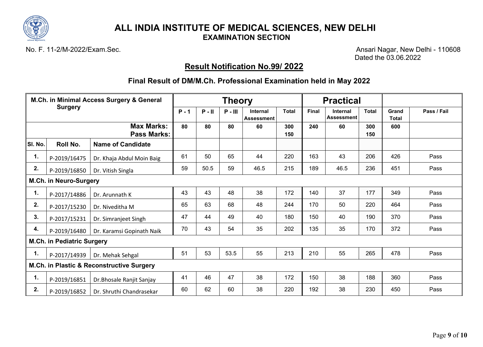

No. F. 11-2/M-2022/Exam.Sec. Ansari Nagar, New Delhi - 110608 Dated the 03.06.2022

# **Result Notification No.99/ 2022**

|         | M.Ch. in Minimal Access Surgery & General<br><b>Surgery</b> |                                           |         |          | <b>Theory</b> |                                      |              |       | <b>Practical</b>              |              |                       |             |
|---------|-------------------------------------------------------------|-------------------------------------------|---------|----------|---------------|--------------------------------------|--------------|-------|-------------------------------|--------------|-----------------------|-------------|
|         |                                                             |                                           | $P - 1$ | $P - II$ | $P - III$     | <b>Internal</b><br><b>Assessment</b> | <b>Total</b> | Final | Internal<br><b>Assessment</b> | <b>Total</b> | Grand<br><b>Total</b> | Pass / Fail |
|         |                                                             | <b>Max Marks:</b><br><b>Pass Marks:</b>   | 80      | 80       | 80            | 60                                   | 300<br>150   | 240   | 60                            | 300<br>150   | 600                   |             |
| SI. No. | Roll No.                                                    | <b>Name of Candidate</b>                  |         |          |               |                                      |              |       |                               |              |                       |             |
| 1.      | P-2019/16475                                                | Dr. Khaja Abdul Moin Baig                 | 61      | 50       | 65            | 44                                   | 220          | 163   | 43                            | 206          | 426                   | Pass        |
| 2.      | P-2019/16850                                                | Dr. Vitish Singla                         | 59      | 50.5     | 59            | 46.5                                 | 215          | 189   | 46.5                          | 236          | 451                   | Pass        |
|         | <b>M.Ch. in Neuro-Surgery</b>                               |                                           |         |          |               |                                      |              |       |                               |              |                       |             |
| 1.      | P-2017/14886                                                | Dr. Arunnath K                            | 43      | 43       | 48            | 38                                   | 172          | 140   | 37                            | 177          | 349                   | Pass        |
| 2.      | P-2017/15230                                                | Dr. Niveditha M                           | 65      | 63       | 68            | 48                                   | 244          | 170   | 50                            | 220          | 464                   | Pass        |
| 3.      | P-2017/15231                                                | Dr. Simranjeet Singh                      | 47      | 44       | 49            | 40                                   | 180          | 150   | 40                            | 190          | 370                   | Pass        |
| 4.      | P-2019/16480                                                | Dr. Karamsi Gopinath Naik                 | 70      | 43       | 54            | 35                                   | 202          | 135   | 35                            | 170          | 372                   | Pass        |
|         | M.Ch. in Pediatric Surgery                                  |                                           |         |          |               |                                      |              |       |                               |              |                       |             |
| 1.      | P-2017/14939                                                | Dr. Mehak Sehgal                          | 51      | 53       | 53.5          | 55                                   | 213          | 210   | 55                            | 265          | 478                   | Pass        |
|         |                                                             | M.Ch. in Plastic & Reconstructive Surgery |         |          |               |                                      |              |       |                               |              |                       |             |
| 1.      | P-2019/16851                                                | Dr. Bhosale Ranjit Sanjay                 | 41      | 46       | 47            | 38                                   | 172          | 150   | 38                            | 188          | 360                   | Pass        |
| 2.      | P-2019/16852                                                | Dr. Shruthi Chandrasekar                  | 60      | 62       | 60            | 38                                   | 220          | 192   | 38                            | 230          | 450                   | Pass        |